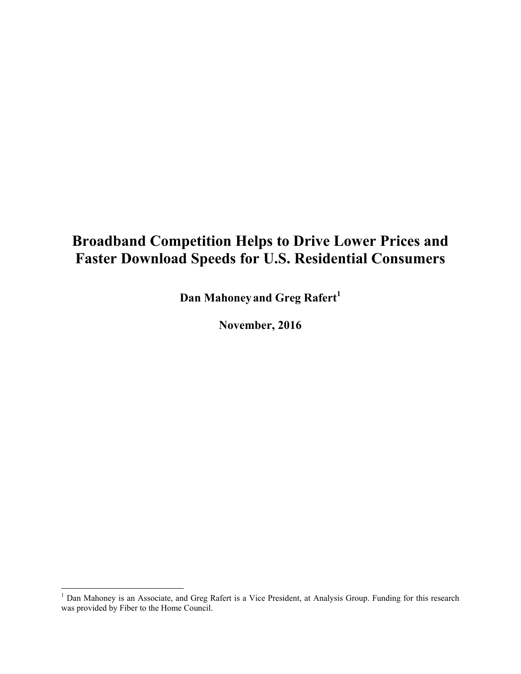# **Broadband Competition Helps to Drive Lower Prices and Faster Download Speeds for U.S. Residential Consumers**

**Dan Mahoneyand Greg Rafert<sup>1</sup>**

**November, 2016**

<sup>&</sup>lt;sup>1</sup> Dan Mahoney is an Associate, and Greg Rafert is a Vice President, at Analysis Group. Funding for this research was provided by Fiber to the Home Council.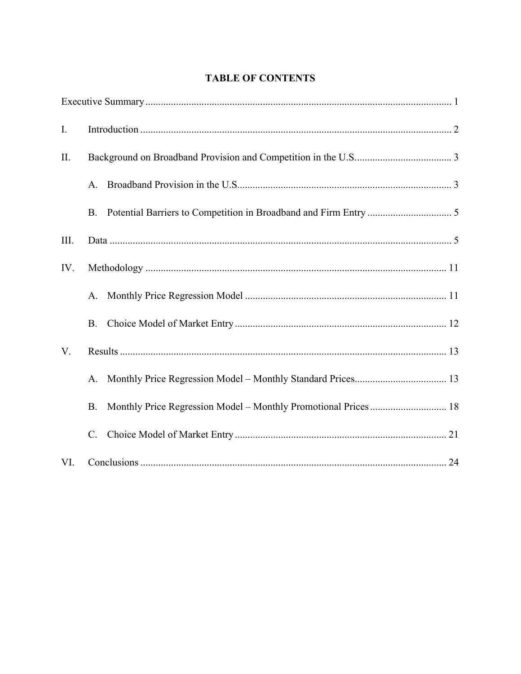## **TABLE OF CONTENTS**

| $\mathbf{I}$ . |             |  |
|----------------|-------------|--|
| II.            |             |  |
|                | A.          |  |
|                | <b>B.</b>   |  |
| III.           |             |  |
| IV.            |             |  |
|                | A.          |  |
|                | <b>B.</b>   |  |
| V.             |             |  |
|                | A.          |  |
|                | <b>B.</b>   |  |
|                | $C_{\cdot}$ |  |
| VI.            |             |  |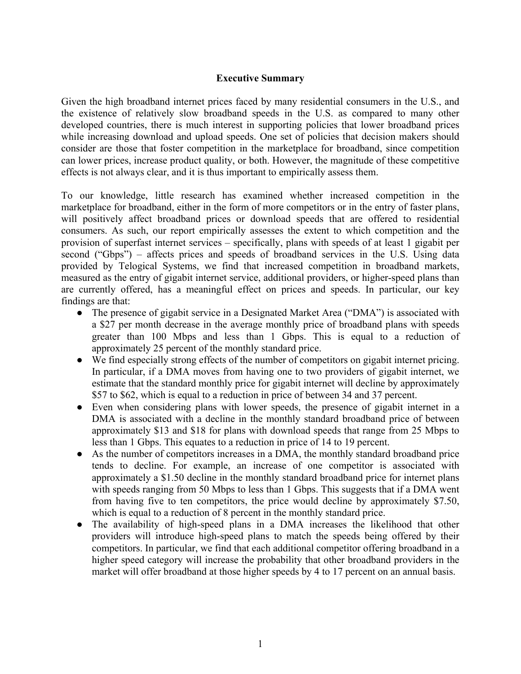### **Executive Summary**

Given the high broadband internet prices faced by many residential consumers in the U.S., and the existence of relatively slow broadband speeds in the U.S. as compared to many other developed countries, there is much interest in supporting policies that lower broadband prices while increasing download and upload speeds. One set of policies that decision makers should consider are those that foster competition in the marketplace for broadband, since competition can lower prices, increase product quality, or both. However, the magnitude of these competitive effects is not always clear, and it is thus important to empirically assess them.

To our knowledge, little research has examined whether increased competition in the marketplace for broadband, either in the form of more competitors or in the entry of faster plans, will positively affect broadband prices or download speeds that are offered to residential consumers. As such, our report empirically assesses the extent to which competition and the provision of superfast internet services – specifically, plans with speeds of at least 1 gigabit per second ("Gbps") – affects prices and speeds of broadband services in the U.S. Using data provided by Telogical Systems, we find that increased competition in broadband markets, measured as the entry of gigabit internet service, additional providers, or higher-speed plans than are currently offered, has a meaningful effect on prices and speeds. In particular, our key findings are that:

- The presence of gigabit service in a Designated Market Area ("DMA") is associated with a \$27 per month decrease in the average monthly price of broadband plans with speeds greater than 100 Mbps and less than 1 Gbps. This is equal to a reduction of approximately 25 percent of the monthly standard price.
- We find especially strong effects of the number of competitors on gigabit internet pricing. In particular, if a DMA moves from having one to two providers of gigabit internet, we estimate that the standard monthly price for gigabit internet will decline by approximately \$57 to \$62, which is equal to a reduction in price of between 34 and 37 percent.
- Even when considering plans with lower speeds, the presence of gigabit internet in a DMA is associated with a decline in the monthly standard broadband price of between approximately \$13 and \$18 for plans with download speeds that range from 25 Mbps to less than 1 Gbps. This equates to a reduction in price of 14 to 19 percent.
- As the number of competitors increases in a DMA, the monthly standard broadband price tends to decline. For example, an increase of one competitor is associated with approximately a \$1.50 decline in the monthly standard broadband price for internet plans with speeds ranging from 50 Mbps to less than 1 Gbps. This suggests that if a DMA went from having five to ten competitors, the price would decline by approximately \$7.50, which is equal to a reduction of 8 percent in the monthly standard price.
- The availability of high-speed plans in a DMA increases the likelihood that other providers will introduce high-speed plans to match the speeds being offered by their competitors. In particular, we find that each additional competitor offering broadband in a higher speed category will increase the probability that other broadband providers in the market will offer broadband at those higher speeds by 4 to 17 percent on an annual basis.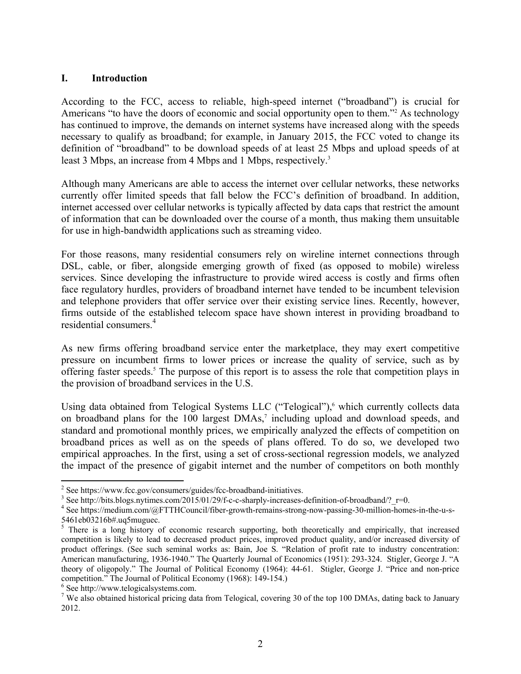### **I. Introduction**

According to the FCC, access to reliable, high-speed internet ("broadband") is crucial for Americans "to have the doors of economic and social opportunity open to them."<sup>2</sup> As technology has continued to improve, the demands on internet systems have increased along with the speeds necessary to qualify as broadband; for example, in January 2015, the FCC voted to change its definition of "broadband" to be download speeds of at least 25 Mbps and upload speeds of at least 3 Mbps, an increase from 4 Mbps and 1 Mbps, respectively.<sup>3</sup>

Although many Americans are able to access the internet over cellular networks, these networks currently offer limited speeds that fall below the FCC's definition of broadband. In addition, internet accessed over cellular networks is typically affected by data caps that restrict the amount of information that can be downloaded over the course of a month, thus making them unsuitable for use in high-bandwidth applications such as streaming video.

For those reasons, many residential consumers rely on wireline internet connections through DSL, cable, or fiber, alongside emerging growth of fixed (as opposed to mobile) wireless services. Since developing the infrastructure to provide wired access is costly and firms often face regulatory hurdles, providers of broadband internet have tended to be incumbent television and telephone providers that offer service over their existing service lines. Recently, however, firms outside of the established telecom space have shown interest in providing broadband to residential consumers.<sup>4</sup>

As new firms offering broadband service enter the marketplace, they may exert competitive pressure on incumbent firms to lower prices or increase the quality of service, such as by offering faster speeds.<sup>5</sup> The purpose of this report is to assess the role that competition plays in the provision of broadband services in the U.S.

Using data obtained from Telogical Systems LLC ("Telogical"),<sup>6</sup> which currently collects data on broadband plans for the 100 largest DMAs,<sup>7</sup> including upload and download speeds, and standard and promotional monthly prices, we empirically analyzed the effects of competition on broadband prices as well as on the speeds of plans offered. To do so, we developed two empirical approaches. In the first, using a set of cross-sectional regression models, we analyzed the impact of the presence of gigabit internet and the number of competitors on both monthly

1

 $2^{2}$  See https://www.fcc.gov/consumers/guides/fcc-broadband-initiatives.

<sup>&</sup>lt;sup>3</sup> See http://bits.blogs.nytimes.com/2015/01/29/f-c-c-sharply-increases-definition-of-broadband/?\_r=0.<br><sup>4</sup> See http://medium.com/@ETTHCouncil/fiber\_crouth\_remains\_straps\_now\_nessing\_30\_million\_home

See https://medium.com/@FTTHCouncil/fiber-growth-remains-strong-now-passing-30-million-homes-in-the-u-s-5461eb03216b#.uq5muguec.

<sup>&</sup>lt;sup>5</sup> There is a long history of economic research supporting, both theoretically and empirically, that increased competition is likely to lead to decreased product prices, improved product quality, and/or increased diversity of product offerings. (See such seminal works as: Bain, Joe S. "Relation of profit rate to industry concentration: American manufacturing, 1936-1940." The Quarterly Journal of Economics (1951): 293-324. Stigler, George J. "A theory of oligopoly." The Journal of Political Economy (1964): 44-61. Stigler, George J. "Price and non-price competition." The Journal of Political Economy (1968): 149-154.)

<sup>6</sup> See http://www.telogicalsystems.com.

<sup>&</sup>lt;sup>7</sup> We also obtained historical pricing data from Telogical, covering 30 of the top 100 DMAs, dating back to January 2012.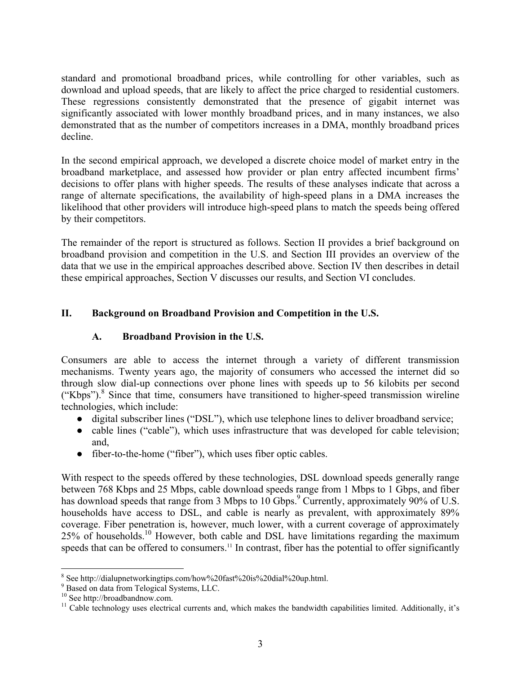standard and promotional broadband prices, while controlling for other variables, such as download and upload speeds, that are likely to affect the price charged to residential customers. These regressions consistently demonstrated that the presence of gigabit internet was significantly associated with lower monthly broadband prices, and in many instances, we also demonstrated that as the number of competitors increases in a DMA, monthly broadband prices decline.

In the second empirical approach, we developed a discrete choice model of market entry in the broadband marketplace, and assessed how provider or plan entry affected incumbent firms' decisions to offer plans with higher speeds. The results of these analyses indicate that across a range of alternate specifications, the availability of high-speed plans in a DMA increases the likelihood that other providers will introduce high-speed plans to match the speeds being offered by their competitors.

The remainder of the report is structured as follows. Section II provides a brief background on broadband provision and competition in the U.S. and Section III provides an overview of the data that we use in the empirical approaches described above. Section IV then describes in detail these empirical approaches, Section V discusses our results, and Section VI concludes.

### **II. Background on Broadband Provision and Competition in the U.S.**

### **A. Broadband Provision in the U.S.**

Consumers are able to access the internet through a variety of different transmission mechanisms. Twenty years ago, the majority of consumers who accessed the internet did so through slow dial-up connections over phone lines with speeds up to 56 kilobits per second ("Kbps").8 Since that time, consumers have transitioned to higher-speed transmission wireline technologies, which include:

- digital subscriber lines ("DSL"), which use telephone lines to deliver broadband service;
- cable lines ("cable"), which uses infrastructure that was developed for cable television; and,
- fiber-to-the-home ("fiber"), which uses fiber optic cables.

With respect to the speeds offered by these technologies, DSL download speeds generally range between 768 Kbps and 25 Mbps, cable download speeds range from 1 Mbps to 1 Gbps, and fiber has download speeds that range from 3 Mbps to 10 Gbps.<sup>9</sup> Currently, approximately 90% of U.S. households have access to DSL, and cable is nearly as prevalent, with approximately 89% coverage. Fiber penetration is, however, much lower, with a current coverage of approximately 25% of households.10 However, both cable and DSL have limitations regarding the maximum speeds that can be offered to consumers.<sup>11</sup> In contrast, fiber has the potential to offer significantly

 $\overline{a}$ <sup>8</sup> See http://dialupnetworkingtips.com/how%20fast%20is%20dial%20up.html.

<sup>9</sup> Based on data from Telogical Systems, LLC.

<sup>10</sup> See http://broadbandnow.com.

<sup>&</sup>lt;sup>11</sup> Cable technology uses electrical currents and, which makes the bandwidth capabilities limited. Additionally, it's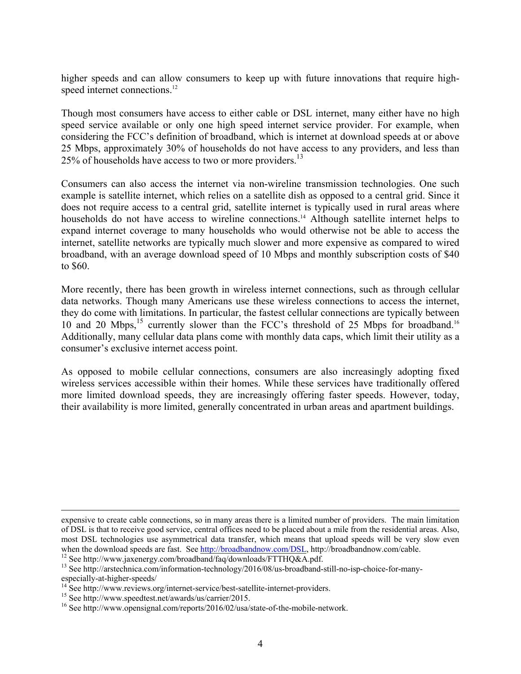higher speeds and can allow consumers to keep up with future innovations that require highspeed internet connections.<sup>12</sup>

Though most consumers have access to either cable or DSL internet, many either have no high speed service available or only one high speed internet service provider. For example, when considering the FCC's definition of broadband, which is internet at download speeds at or above 25 Mbps, approximately 30% of households do not have access to any providers, and less than 25% of households have access to two or more providers.<sup>13</sup>

Consumers can also access the internet via non-wireline transmission technologies. One such example is satellite internet, which relies on a satellite dish as opposed to a central grid. Since it does not require access to a central grid, satellite internet is typically used in rural areas where households do not have access to wireline connections.<sup>14</sup> Although satellite internet helps to expand internet coverage to many households who would otherwise not be able to access the internet, satellite networks are typically much slower and more expensive as compared to wired broadband, with an average download speed of 10 Mbps and monthly subscription costs of \$40 to \$60.

More recently, there has been growth in wireless internet connections, such as through cellular data networks. Though many Americans use these wireless connections to access the internet, they do come with limitations. In particular, the fastest cellular connections are typically between 10 and 20 Mbps,<sup>15</sup> currently slower than the FCC's threshold of 25 Mbps for broadband.<sup>16</sup> Additionally, many cellular data plans come with monthly data caps, which limit their utility as a consumer's exclusive internet access point.

As opposed to mobile cellular connections, consumers are also increasingly adopting fixed wireless services accessible within their homes. While these services have traditionally offered more limited download speeds, they are increasingly offering faster speeds. However, today, their availability is more limited, generally concentrated in urban areas and apartment buildings.

expensive to create cable connections, so in many areas there is a limited number of providers. The main limitation of DSL is that to receive good service, central offices need to be placed about a mile from the residential areas. Also, most DSL technologies use asymmetrical data transfer, which means that upload speeds will be very slow even when the download speeds are fast. See http://broadbandnow.com/DSL, http://broadbandnow.com/cable.

<sup>&</sup>lt;sup>12</sup> See http://www.jaxenergy.com/broadband/faq/downloads/FTTHQ&A.pdf.<br><sup>13</sup> See http://arstechnica.com/information-technology/2016/08/us-broadband-still-no-isp-choice-for-manyespecially-at-higher-speeds/

<sup>&</sup>lt;sup>14</sup> See http://www.reviews.org/internet-service/best-satellite-internet-providers.<br><sup>15</sup> See http://www.speedtest.net/awards/us/carrier/2015.

<sup>&</sup>lt;sup>16</sup> See http://www.opensignal.com/reports/2016/02/usa/state-of-the-mobile-network.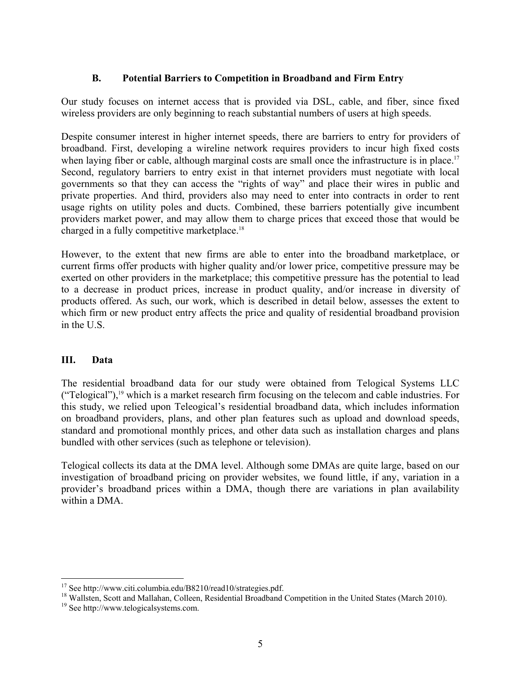### **B. Potential Barriers to Competition in Broadband and Firm Entry**

Our study focuses on internet access that is provided via DSL, cable, and fiber, since fixed wireless providers are only beginning to reach substantial numbers of users at high speeds.

Despite consumer interest in higher internet speeds, there are barriers to entry for providers of broadband. First, developing a wireline network requires providers to incur high fixed costs when laying fiber or cable, although marginal costs are small once the infrastructure is in place.<sup>17</sup> Second, regulatory barriers to entry exist in that internet providers must negotiate with local governments so that they can access the "rights of way" and place their wires in public and private properties. And third, providers also may need to enter into contracts in order to rent usage rights on utility poles and ducts. Combined, these barriers potentially give incumbent providers market power, and may allow them to charge prices that exceed those that would be charged in a fully competitive marketplace.18

However, to the extent that new firms are able to enter into the broadband marketplace, or current firms offer products with higher quality and/or lower price, competitive pressure may be exerted on other providers in the marketplace; this competitive pressure has the potential to lead to a decrease in product prices, increase in product quality, and/or increase in diversity of products offered. As such, our work, which is described in detail below, assesses the extent to which firm or new product entry affects the price and quality of residential broadband provision in the U.S.

### **III. Data**

The residential broadband data for our study were obtained from Telogical Systems LLC ("Telogical"),<sup>19</sup> which is a market research firm focusing on the telecom and cable industries. For this study, we relied upon Teleogical's residential broadband data, which includes information on broadband providers, plans, and other plan features such as upload and download speeds, standard and promotional monthly prices, and other data such as installation charges and plans bundled with other services (such as telephone or television).

Telogical collects its data at the DMA level. Although some DMAs are quite large, based on our investigation of broadband pricing on provider websites, we found little, if any, variation in a provider's broadband prices within a DMA, though there are variations in plan availability within a DMA.

<sup>&</sup>lt;sup>17</sup> See http://www.citi.columbia.edu/B8210/read10/strategies.pdf.

<sup>&</sup>lt;sup>18</sup> Wallsten, Scott and Mallahan, Colleen, Residential Broadband Competition in the United States (March 2010).

<sup>19</sup> See http://www.telogicalsystems.com.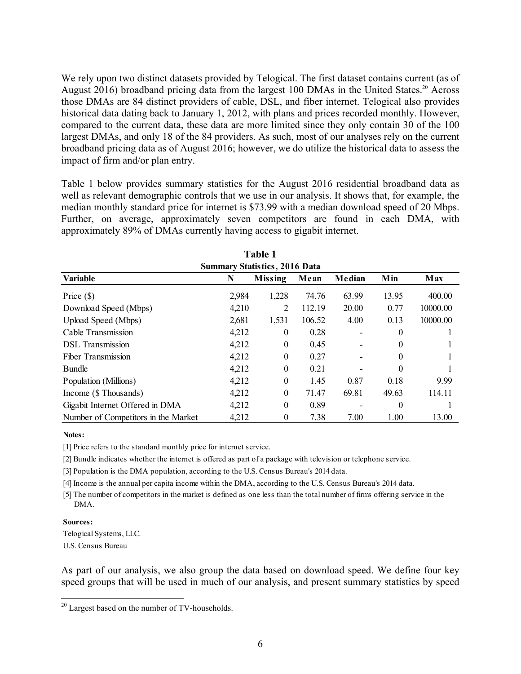We rely upon two distinct datasets provided by Telogical. The first dataset contains current (as of August 2016) broadband pricing data from the largest 100 DMAs in the United States.<sup>20</sup> Across those DMAs are 84 distinct providers of cable, DSL, and fiber internet. Telogical also provides historical data dating back to January 1, 2012, with plans and prices recorded monthly. However, compared to the current data, these data are more limited since they only contain 30 of the 100 largest DMAs, and only 18 of the 84 providers. As such, most of our analyses rely on the current broadband pricing data as of August 2016; however, we do utilize the historical data to assess the impact of firm and/or plan entry.

Table 1 below provides summary statistics for the August 2016 residential broadband data as well as relevant demographic controls that we use in our analysis. It shows that, for example, the median monthly standard price for internet is \$73.99 with a median download speed of 20 Mbps. Further, on average, approximately seven competitors are found in each DMA, with approximately 89% of DMAs currently having access to gigabit internet.

| <b>Table 1</b>                       |       |                  |        |        |          |          |  |  |
|--------------------------------------|-------|------------------|--------|--------|----------|----------|--|--|
| <b>Summary Statistics, 2016 Data</b> |       |                  |        |        |          |          |  |  |
| <b>Variable</b>                      | N     | <b>Missing</b>   | Mean   | Median | Min      | Max      |  |  |
| Price $(\$)$                         | 2,984 | 1,228            | 74.76  | 63.99  | 13.95    | 400.00   |  |  |
| Download Speed (Mbps)                | 4,210 | 2                | 112.19 | 20.00  | 0.77     | 10000.00 |  |  |
| Upload Speed (Mbps)                  | 2,681 | 1,531            | 106.52 | 4.00   | 0.13     | 10000.00 |  |  |
| Cable Transmission                   | 4,212 | $\theta$         | 0.28   |        | $\theta$ |          |  |  |
| <b>DSL</b> Transmission              | 4,212 | $\theta$         | 0.45   |        | $\theta$ |          |  |  |
| Fiber Transmission                   | 4,212 | $\boldsymbol{0}$ | 0.27   |        | $\Omega$ |          |  |  |
| <b>Bundle</b>                        | 4,212 | $\boldsymbol{0}$ | 0.21   |        | $\theta$ |          |  |  |
| Population (Millions)                | 4,212 | $\boldsymbol{0}$ | 1.45   | 0.87   | 0.18     | 9.99     |  |  |
| Income (\$ Thousands)                | 4,212 | $\boldsymbol{0}$ | 71.47  | 69.81  | 49.63    | 114.11   |  |  |
| Gigabit Internet Offered in DMA      | 4,212 | $\boldsymbol{0}$ | 0.89   |        | 0        |          |  |  |
| Number of Competitors in the Market  | 4,212 | $\boldsymbol{0}$ | 7.38   | 7.00   | 1.00     | 13.00    |  |  |

#### **Notes:**

[1] Price refers to the standard monthly price for internet service.

[2] Bundle indicates whether the internet is offered as part of a package with television or telephone service.

[3] Population is the DMA population, according to the U.S. Census Bureau's 2014 data.

[4] Income is the annual per capita income within the DMA, according to the U.S. Census Bureau's 2014 data.

[5] The number of competitors in the market is defined as one less than the total number of firms offering service in the DMA.

#### **Sources:**

 $\overline{a}$ 

Telogical Systems, LLC.

U.S. Census Bureau

As part of our analysis, we also group the data based on download speed. We define four key speed groups that will be used in much of our analysis, and present summary statistics by speed

 $20$  Largest based on the number of TV-households.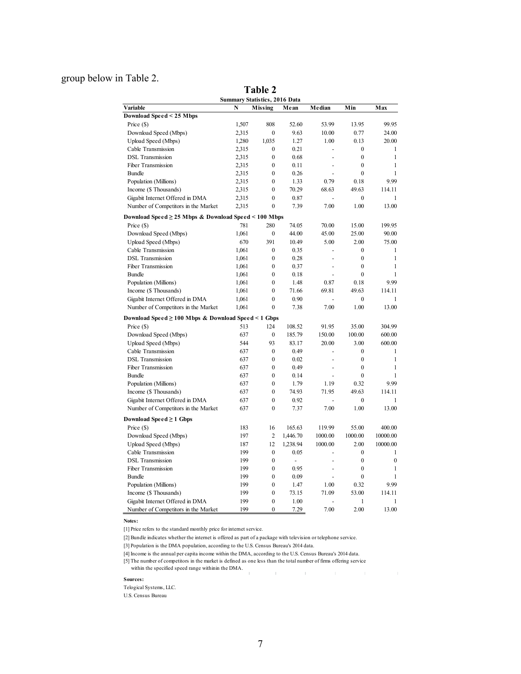### group below in Table 2.

|                                                          | aviv <i>u</i><br><b>Summary Statistics, 2016 Data</b> |                                      |                          |                          |                                    |                              |  |  |
|----------------------------------------------------------|-------------------------------------------------------|--------------------------------------|--------------------------|--------------------------|------------------------------------|------------------------------|--|--|
| Variable                                                 | N                                                     | Missing                              | Mean                     | Median                   | Min                                | Max                          |  |  |
| Download Speed < 25 Mbps                                 |                                                       |                                      |                          |                          |                                    |                              |  |  |
| Price (\$)                                               | 1,507                                                 | 808                                  | 52.60                    | 53.99                    | 13.95                              | 99.95                        |  |  |
| Download Speed (Mbps)                                    | 2,315                                                 | $\boldsymbol{0}$                     | 9.63                     | 10.00                    | 0.77                               | 24.00                        |  |  |
| Upload Speed (Mbps)                                      | 1,280                                                 | 1,035                                | 1.27                     | 1.00                     | 0.13                               | 20.00                        |  |  |
| Cable Transmission                                       | 2.315                                                 | $\mathbf{0}$                         | 0.21                     |                          | $\mathbf{0}$                       | 1                            |  |  |
| <b>DSL</b> Transmission                                  | 2,315                                                 | $\boldsymbol{0}$                     | 0.68                     | ÷,                       | $\boldsymbol{0}$                   | $\mathbf{1}$                 |  |  |
| Fiber Transmission                                       | 2,315                                                 | $\boldsymbol{0}$                     | 0.11                     | ÷,                       | $\mathbf{0}$                       | 1                            |  |  |
| <b>Bundle</b>                                            | 2,315                                                 | $\boldsymbol{0}$                     | 0.26                     | $\overline{\phantom{a}}$ | $\mathbf{0}$                       | $\mathbf{1}$                 |  |  |
| Population (Millions)                                    | 2,315                                                 | $\mathbf{0}$                         | 1.33                     | 0.79                     | 0.18                               | 9.99                         |  |  |
| Income (\$ Thousands)                                    | 2,315                                                 | $\boldsymbol{0}$                     | 70.29                    | 68.63                    | 49.63                              | 114.11                       |  |  |
| Gigabit Internet Offered in DMA                          | 2,315                                                 | $\boldsymbol{0}$                     | 0.87                     |                          | $\mathbf{0}$                       | 1                            |  |  |
| Number of Competitors in the Market                      | 2,315                                                 | $\mathbf{0}$                         | 7.39                     | 7.00                     | 1.00                               | 13.00                        |  |  |
| Download Speed ≥ 25 Mbps & Download Speed < 100 Mbps     |                                                       |                                      |                          |                          |                                    |                              |  |  |
| Price (\$)                                               | 781                                                   | 280                                  | 74.05                    | 70.00                    | 15.00                              | 199.95                       |  |  |
| Download Speed (Mbps)                                    | 1,061                                                 | $\boldsymbol{0}$                     | 44.00                    | 45.00                    | 25.00                              | 90.00                        |  |  |
| Upload Speed (Mbps)                                      | 670                                                   | 391                                  | 10.49                    | 5.00                     | 2.00                               | 75.00                        |  |  |
| Cable Transmission                                       | 1,061                                                 | $\boldsymbol{0}$                     | 0.35                     | $\overline{a}$           | $\mathbf{0}$                       | 1                            |  |  |
| <b>DSL</b> Transmission                                  | 1,061                                                 | $\boldsymbol{0}$                     | 0.28                     | $\sim$                   | $\boldsymbol{0}$                   | 1                            |  |  |
| Fiber Transmission                                       | 1,061                                                 | $\overline{0}$                       | 0.37                     | ÷,                       | $\mathbf{0}$                       | 1                            |  |  |
| <b>Bundle</b>                                            | 1,061                                                 | $\boldsymbol{0}$                     | 0.18                     | ÷,                       | $\mathbf{0}$                       | $\mathbf{1}$                 |  |  |
| Population (Millions)                                    | 1,061                                                 | $\boldsymbol{0}$                     | 1.48                     | 0.87                     | 0.18                               | 9.99                         |  |  |
| Income (\$ Thousands)                                    | 1,061                                                 | $\boldsymbol{0}$                     | 71.66                    | 69.81                    | 49.63                              | 114.11                       |  |  |
| Gigabit Internet Offered in DMA                          | 1,061                                                 | $\boldsymbol{0}$                     | 0.90                     |                          | $\mathbf{0}$                       | 1                            |  |  |
| Number of Competitors in the Market                      | 1,061                                                 | $\overline{0}$                       | 7.38                     | 7.00                     | 1.00                               | 13.00                        |  |  |
|                                                          |                                                       |                                      |                          |                          |                                    |                              |  |  |
| Download Speed ≥ 100 Mbps & Download Speed < 1 Gbps      |                                                       |                                      |                          |                          |                                    |                              |  |  |
| Price (\$)                                               | 513                                                   | 124                                  | 108.52                   | 91.95                    | 35.00                              | 304.99                       |  |  |
| Download Speed (Mbps)                                    | 637                                                   | $\boldsymbol{0}$                     | 185.79                   | 150.00                   | 100.00                             | 600.00                       |  |  |
| Upload Speed (Mbps)                                      | 544                                                   | 93                                   | 83.17                    | 20.00                    | 3.00                               | 600.00                       |  |  |
| Cable Transmission                                       | 637                                                   | $\boldsymbol{0}$<br>$\boldsymbol{0}$ | 0.49                     | $\overline{\phantom{a}}$ | $\boldsymbol{0}$<br>$\overline{0}$ | $\mathbf{1}$<br>$\mathbf{1}$ |  |  |
| <b>DSL</b> Transmission                                  | 637                                                   |                                      | 0.02                     | ÷,                       |                                    |                              |  |  |
| Fiber Transmission                                       | 637                                                   | $\overline{0}$                       | 0.49                     |                          | $\mathbf{0}$                       | $\mathbf{1}$                 |  |  |
| <b>Bundle</b>                                            | 637                                                   | $\boldsymbol{0}$<br>$\boldsymbol{0}$ | 0.14                     |                          | $\mathbf{0}$                       | 1<br>9.99                    |  |  |
| Population (Millions)                                    | 637<br>637                                            | $\boldsymbol{0}$                     | 1.79<br>74.93            | 1.19<br>71.95            | 0.32<br>49.63                      | 114.11                       |  |  |
| Income (\$ Thousands)<br>Gigabit Internet Offered in DMA | 637                                                   | $\boldsymbol{0}$                     | 0.92                     |                          | $\mathbf{0}$                       | 1                            |  |  |
| Number of Competitors in the Market                      | 637                                                   | $\boldsymbol{0}$                     | 7.37                     | 7.00                     | 1.00                               | 13.00                        |  |  |
|                                                          |                                                       |                                      |                          |                          |                                    |                              |  |  |
| Download Speed $\geq 1$ Gbps                             |                                                       |                                      |                          |                          |                                    |                              |  |  |
| Price (\$)                                               | 183                                                   | 16                                   | 165.63                   | 119.99                   | 55.00                              | 400.00                       |  |  |
| Download Speed (Mbps)                                    | 197                                                   | $\overline{c}$                       | 1,446.70                 | 1000.00                  | 1000.00                            | 10000.00                     |  |  |
| Upload Speed (Mbps)                                      | 187                                                   | 12                                   | 1,238.94                 | 1000.00                  | 2.00                               | 10000.00                     |  |  |
| Cable Transmission                                       | 199                                                   | $\boldsymbol{0}$                     | 0.05                     |                          | $\boldsymbol{0}$                   | $\mathbf{1}$                 |  |  |
| <b>DSL</b> Transmission                                  | 199                                                   | $\boldsymbol{0}$                     | $\overline{\phantom{a}}$ |                          | $\boldsymbol{0}$                   | $\mathbf{0}$                 |  |  |
| Fiber Transmission                                       | 199                                                   | $\boldsymbol{0}$                     | 0.95                     | $\overline{a}$           | $\boldsymbol{0}$                   | $\mathbf{1}$                 |  |  |
| <b>Bundle</b>                                            | 199                                                   | $\boldsymbol{0}$                     | 0.09                     | ÷,                       | $\mathbf{0}$                       | $\mathbf{1}$                 |  |  |
| Population (Millions)                                    | 199                                                   | $\overline{0}$                       | 1.47                     | 1.00                     | 0.32                               | 9.99                         |  |  |
| Income (\$ Thousands)                                    | 199                                                   | $\boldsymbol{0}$                     | 73.15                    | 71.09                    | 53.00                              | 114.11                       |  |  |
| Gigabit Internet Offered in DMA                          | 199                                                   | $\boldsymbol{0}$                     | 1.00                     |                          | 1                                  | 1                            |  |  |
| Number of Competitors in the Market                      | 199                                                   | $\boldsymbol{0}$                     | 7.29                     | 7.00                     | 2.00                               | 13.00                        |  |  |

**Table 2**

**Notes:**

[1] Price refers to the standard monthly price for internet service.

[2] Bundle indicates whether the internet is offered as part of a package with television or telephone service.

[3] Population is the DMA population, according to the U.S. Census Bureau's 2014 data.

[4] Income is the annual per capita income within the DMA, according to the U.S. Census Bureau's 2014 data.

[5] The number of competitors in the market is defined as one less than the total number of firms offering service

#### The number of competitions in the native, is assumed that within the specified speed range withinin the DMA.  $\sim 10^{-10}$  and  $\sim 10^{-10}$  $\sim 10^{-10}$  and  $\sim 10^{-10}$ **Sources:**

 $\sim 1$ 

Telogical Systems, LLC.

U.S. Census Bureau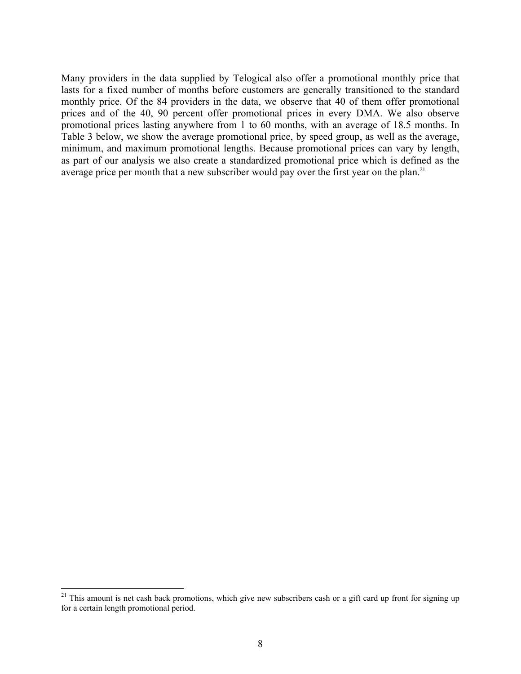Many providers in the data supplied by Telogical also offer a promotional monthly price that lasts for a fixed number of months before customers are generally transitioned to the standard monthly price. Of the 84 providers in the data, we observe that 40 of them offer promotional prices and of the 40, 90 percent offer promotional prices in every DMA. We also observe promotional prices lasting anywhere from 1 to 60 months, with an average of 18.5 months. In Table 3 below, we show the average promotional price, by speed group, as well as the average, minimum, and maximum promotional lengths. Because promotional prices can vary by length, as part of our analysis we also create a standardized promotional price which is defined as the average price per month that a new subscriber would pay over the first year on the plan.<sup>21</sup>

1

 $21$  This amount is net cash back promotions, which give new subscribers cash or a gift card up front for signing up for a certain length promotional period.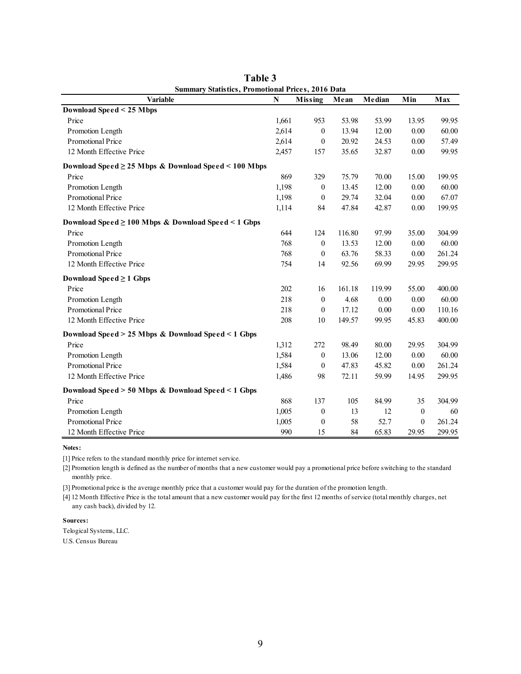| <b>Summary Statistics, Promotional Prices, 2016 Data</b>  |       |                  |        |          |                  |        |
|-----------------------------------------------------------|-------|------------------|--------|----------|------------------|--------|
| <b>Variable</b>                                           | N     | <b>Missing</b>   | Mean   | Median   | Min              | Max    |
| Download Speed < 25 Mbps                                  |       |                  |        |          |                  |        |
| Price                                                     | 1.661 | 953              | 53.98  | 53.99    | 13.95            | 99.95  |
| Promotion Length                                          | 2,614 | $\boldsymbol{0}$ | 13.94  | 12.00    | 0.00             | 60.00  |
| Promotional Price                                         | 2,614 | $\boldsymbol{0}$ | 20.92  | 24.53    | 0.00             | 57.49  |
| 12 Month Effective Price                                  | 2,457 | 157              | 35.65  | 32.87    | 0.00             | 99.95  |
| Download Speed $\geq$ 25 Mbps & Download Speed < 100 Mbps |       |                  |        |          |                  |        |
| Price                                                     | 869   | 329              | 75.79  | 70.00    | 15.00            | 199.95 |
| Promotion Length                                          | 1,198 | $\mathbf{0}$     | 13.45  | 12.00    | 0.00             | 60.00  |
| Promotional Price                                         | 1,198 | $\mathbf{0}$     | 29.74  | 32.04    | 0.00             | 67.07  |
| 12 Month Effective Price                                  | 1,114 | 84               | 47.84  | 42.87    | 0.00             | 199.95 |
| Download Speed ≥ 100 Mbps & Download Speed < 1 Gbps       |       |                  |        |          |                  |        |
| Price                                                     | 644   | 124              | 116.80 | 97.99    | 35.00            | 304.99 |
| Promotion Length                                          | 768   | $\mathbf{0}$     | 13.53  | 12.00    | 0.00             | 60.00  |
| Promotional Price                                         | 768   | $\mathbf{0}$     | 63.76  | 58.33    | 0.00             | 261.24 |
| 12 Month Effective Price                                  | 754   | 14               | 92.56  | 69.99    | 29.95            | 299.95 |
| Download Speed $\geq 1$ Gbps                              |       |                  |        |          |                  |        |
| Price                                                     | 202   | 16               | 161.18 | 119.99   | 55.00            | 400.00 |
| Promotion Length                                          | 218   | $\mathbf{0}$     | 4.68   | 0.00     | 0.00             | 60.00  |
| Promotional Price                                         | 218   | $\boldsymbol{0}$ | 17.12  | $0.00\,$ | 0.00             | 110.16 |
| 12 Month Effective Price                                  | 208   | 10               | 149.57 | 99.95    | 45.83            | 400.00 |
| Download Speed > 25 Mbps & Download Speed < 1 Gbps        |       |                  |        |          |                  |        |
| Price                                                     | 1,312 | 272              | 98.49  | 80.00    | 29.95            | 304.99 |
| Promotion Length                                          | 1,584 | $\mathbf{0}$     | 13.06  | 12.00    | 0.00             | 60.00  |
| Promotional Price                                         | 1,584 | $\boldsymbol{0}$ | 47.83  | 45.82    | 0.00             | 261.24 |
| 12 Month Effective Price                                  | 1,486 | 98               | 72.11  | 59.99    | 14.95            | 299.95 |
| Download Speed > 50 Mbps & Download Speed < 1 Gbps        |       |                  |        |          |                  |        |
| Price                                                     | 868   | 137              | 105    | 84.99    | 35               | 304.99 |
| Promotion Length                                          | 1,005 | $\boldsymbol{0}$ | 13     | 12       | $\boldsymbol{0}$ | 60     |
| Promotional Price                                         | 1,005 | $\boldsymbol{0}$ | 58     | 52.7     | $\theta$         | 261.24 |
| 12 Month Effective Price                                  | 990   | 15               | 84     | 65.83    | 29.95            | 299.95 |

**Table 3** 

[1] Price refers to the standard monthly price for internet service.

[2] Promotion length is defined as the number of months that a new customer would pay a promotional price before switching to the standard monthly price.

[3] Promotional price is the average monthly price that a customer would pay for the duration of the promotion length.

[4] 12 Month Effective Price is the total amount that a new customer would pay for the first 12 months of service (total monthly charges, net any cash back), divided by 12.

**Sources:**

Telogical Systems, LLC.

U.S. Census Bureau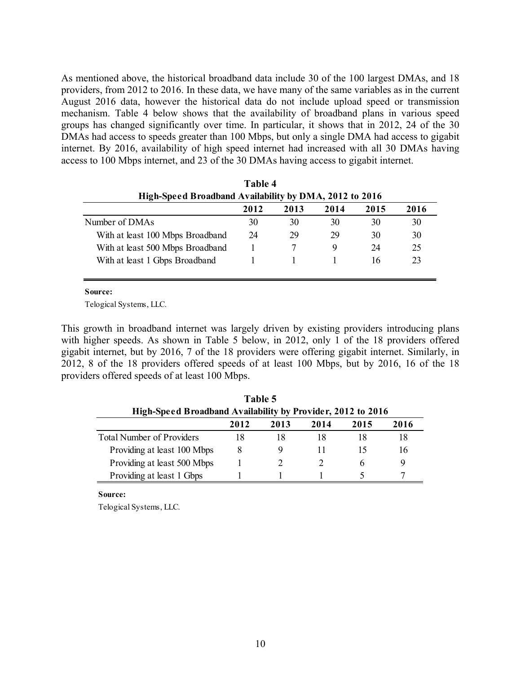As mentioned above, the historical broadband data include 30 of the 100 largest DMAs, and 18 providers, from 2012 to 2016. In these data, we have many of the same variables as in the current August 2016 data, however the historical data do not include upload speed or transmission mechanism. Table 4 below shows that the availability of broadband plans in various speed groups has changed significantly over time. In particular, it shows that in 2012, 24 of the 30 DMAs had access to speeds greater than 100 Mbps, but only a single DMA had access to gigabit internet. By 2016, availability of high speed internet had increased with all 30 DMAs having access to 100 Mbps internet, and 23 of the 30 DMAs having access to gigabit internet.

|                                                        | Table 4 |      |      |      |      |  |
|--------------------------------------------------------|---------|------|------|------|------|--|
| High-Speed Broadband Availability by DMA, 2012 to 2016 |         |      |      |      |      |  |
|                                                        | 2012    | 2013 | 2014 | 2015 | 2016 |  |
| Number of DMAs                                         | 30      | 30   | 30   | 30   | 30   |  |
| With at least 100 Mbps Broadband                       | 24      | 29   | 29   | 30   | 30   |  |
| With at least 500 Mbps Broadband                       |         |      | 9    | 24   | 25   |  |
| With at least 1 Gbps Broadband                         |         |      |      | 16   | 23   |  |
|                                                        |         |      |      |      |      |  |

**Source:**

Telogical Systems, LLC.

This growth in broadband internet was largely driven by existing providers introducing plans with higher speeds. As shown in Table 5 below, in 2012, only 1 of the 18 providers offered gigabit internet, but by 2016, 7 of the 18 providers were offering gigabit internet. Similarly, in 2012, 8 of the 18 providers offered speeds of at least 100 Mbps, but by 2016, 16 of the 18 providers offered speeds of at least 100 Mbps.

| Table 5                                                     |      |      |      |                |      |  |  |
|-------------------------------------------------------------|------|------|------|----------------|------|--|--|
| High-Speed Broadband Availability by Provider, 2012 to 2016 |      |      |      |                |      |  |  |
|                                                             | 2012 | 2013 | 2014 | 2015           | 2016 |  |  |
| <b>Total Number of Providers</b>                            | 18   | 18   | 18   |                | 18   |  |  |
| Providing at least 100 Mbps                                 |      | 9    |      | $\overline{1}$ | 16   |  |  |
| Providing at least 500 Mbps                                 |      |      |      | h              |      |  |  |
| Providing at least 1 Gbps                                   |      |      |      |                |      |  |  |

**Source:**

Telogical Systems, LLC.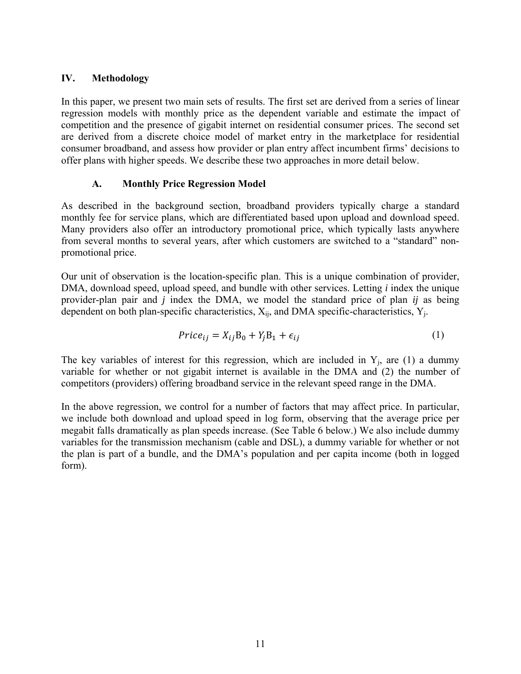### **IV. Methodology**

In this paper, we present two main sets of results. The first set are derived from a series of linear regression models with monthly price as the dependent variable and estimate the impact of competition and the presence of gigabit internet on residential consumer prices. The second set are derived from a discrete choice model of market entry in the marketplace for residential consumer broadband, and assess how provider or plan entry affect incumbent firms' decisions to offer plans with higher speeds. We describe these two approaches in more detail below.

### **A. Monthly Price Regression Model**

As described in the background section, broadband providers typically charge a standard monthly fee for service plans, which are differentiated based upon upload and download speed. Many providers also offer an introductory promotional price, which typically lasts anywhere from several months to several years, after which customers are switched to a "standard" nonpromotional price.

Our unit of observation is the location-specific plan. This is a unique combination of provider, DMA, download speed, upload speed, and bundle with other services. Letting *i* index the unique provider-plan pair and *j* index the DMA, we model the standard price of plan *ij* as being dependent on both plan-specific characteristics,  $X_{ii}$ , and DMA specific-characteristics,  $Y_{i}$ .

$$
Price_{ij} = X_{ij}B_0 + Y_jB_1 + \epsilon_{ij}
$$
\n<sup>(1)</sup>

The key variables of interest for this regression, which are included in  $Y_j$ , are (1) a dummy variable for whether or not gigabit internet is available in the DMA and (2) the number of competitors (providers) offering broadband service in the relevant speed range in the DMA.

In the above regression, we control for a number of factors that may affect price. In particular, we include both download and upload speed in log form, observing that the average price per megabit falls dramatically as plan speeds increase. (See Table 6 below.) We also include dummy variables for the transmission mechanism (cable and DSL), a dummy variable for whether or not the plan is part of a bundle, and the DMA's population and per capita income (both in logged form).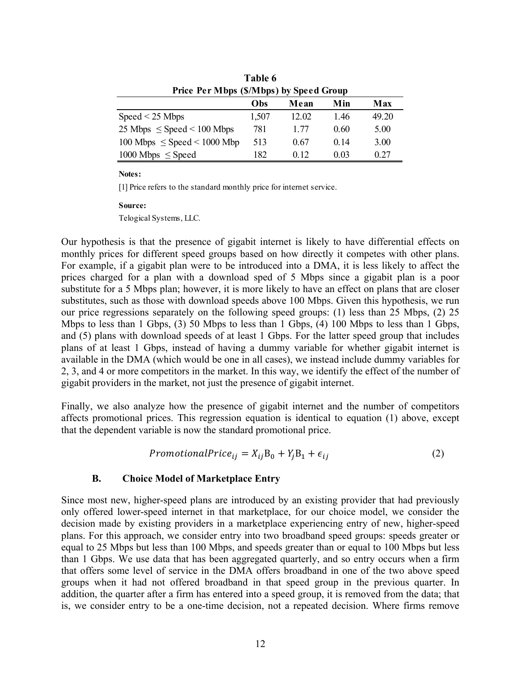| Table 6                                 |       |       |                 |       |  |  |  |
|-----------------------------------------|-------|-------|-----------------|-------|--|--|--|
| Price Per Mbps (\$/Mbps) by Speed Group |       |       |                 |       |  |  |  |
|                                         | Obs   | Mean  | Min             | Max   |  |  |  |
| $Speed < 25$ Mbps                       | 1,507 | 12.02 | 1.46            | 49.20 |  |  |  |
| 25 Mbps $\leq$ Speed $\leq$ 100 Mbps    | 781   | 1 77  | 0.60            | 5.00  |  |  |  |
| $100$ Mbps $\leq$ Speed $\leq$ 1000 Mbp | 513   | 0.67  | 0 <sup>14</sup> | 3.00  |  |  |  |
| $1000$ Mbps $\leq$ Speed                | 182   | 0.12  | 0.03            | 0.27  |  |  |  |

[1] Price refers to the standard monthly price for internet service.

#### **Source:**

Telogical Systems, LLC.

Our hypothesis is that the presence of gigabit internet is likely to have differential effects on monthly prices for different speed groups based on how directly it competes with other plans. For example, if a gigabit plan were to be introduced into a DMA, it is less likely to affect the prices charged for a plan with a download sped of 5 Mbps since a gigabit plan is a poor substitute for a 5 Mbps plan; however, it is more likely to have an effect on plans that are closer substitutes, such as those with download speeds above 100 Mbps. Given this hypothesis, we run our price regressions separately on the following speed groups: (1) less than 25 Mbps, (2) 25 Mbps to less than 1 Gbps, (3) 50 Mbps to less than 1 Gbps, (4) 100 Mbps to less than 1 Gbps, and (5) plans with download speeds of at least 1 Gbps. For the latter speed group that includes plans of at least 1 Gbps, instead of having a dummy variable for whether gigabit internet is available in the DMA (which would be one in all cases), we instead include dummy variables for 2, 3, and 4 or more competitors in the market. In this way, we identify the effect of the number of gigabit providers in the market, not just the presence of gigabit internet.

Finally, we also analyze how the presence of gigabit internet and the number of competitors affects promotional prices. This regression equation is identical to equation (1) above, except that the dependent variable is now the standard promotional price.

$$
PromotionalPrice_{ij} = X_{ij}B_0 + Y_jB_1 + \epsilon_{ij}
$$
\n<sup>(2)</sup>

### **B. Choice Model of Marketplace Entry**

Since most new, higher-speed plans are introduced by an existing provider that had previously only offered lower-speed internet in that marketplace, for our choice model, we consider the decision made by existing providers in a marketplace experiencing entry of new, higher-speed plans. For this approach, we consider entry into two broadband speed groups: speeds greater or equal to 25 Mbps but less than 100 Mbps, and speeds greater than or equal to 100 Mbps but less than 1 Gbps. We use data that has been aggregated quarterly, and so entry occurs when a firm that offers some level of service in the DMA offers broadband in one of the two above speed groups when it had not offered broadband in that speed group in the previous quarter. In addition, the quarter after a firm has entered into a speed group, it is removed from the data; that is, we consider entry to be a one-time decision, not a repeated decision. Where firms remove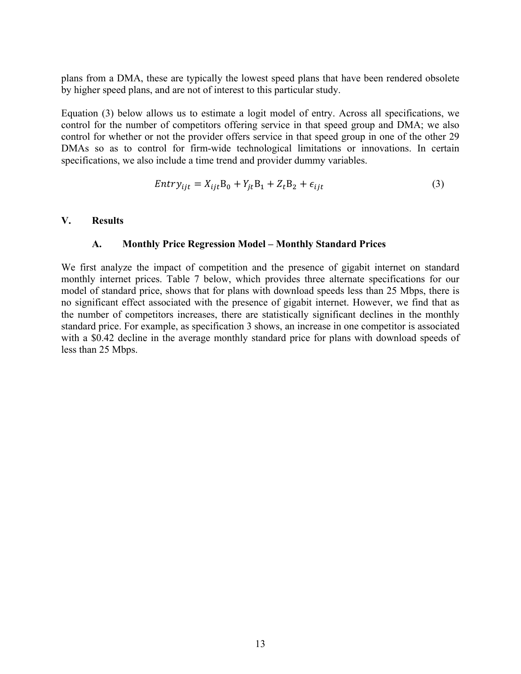plans from a DMA, these are typically the lowest speed plans that have been rendered obsolete by higher speed plans, and are not of interest to this particular study.

Equation (3) below allows us to estimate a logit model of entry. Across all specifications, we control for the number of competitors offering service in that speed group and DMA; we also control for whether or not the provider offers service in that speed group in one of the other 29 DMAs so as to control for firm-wide technological limitations or innovations. In certain specifications, we also include a time trend and provider dummy variables.

$$
Entry_{ijt} = X_{ijt}B_0 + Y_{jt}B_1 + Z_tB_2 + \epsilon_{ijt}
$$
\n
$$
(3)
$$

### **V. Results**

#### **A. Monthly Price Regression Model – Monthly Standard Prices**

We first analyze the impact of competition and the presence of gigabit internet on standard monthly internet prices. Table 7 below, which provides three alternate specifications for our model of standard price, shows that for plans with download speeds less than 25 Mbps, there is no significant effect associated with the presence of gigabit internet. However, we find that as the number of competitors increases, there are statistically significant declines in the monthly standard price. For example, as specification 3 shows, an increase in one competitor is associated with a \$0.42 decline in the average monthly standard price for plans with download speeds of less than 25 Mbps.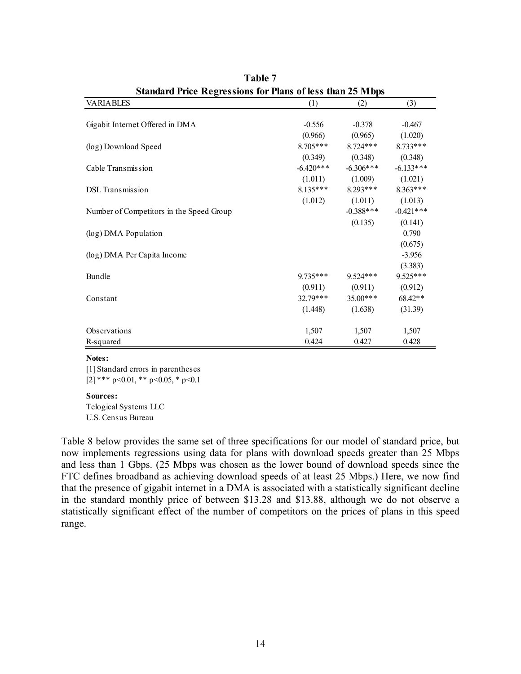| Standard Frice Regressions for Fians of less than 25 maps |             |             |             |  |  |  |
|-----------------------------------------------------------|-------------|-------------|-------------|--|--|--|
| <b>VARIABLES</b>                                          | (1)         | (2)         | (3)         |  |  |  |
|                                                           |             |             |             |  |  |  |
| Gigabit Internet Offered in DMA                           | $-0.556$    | $-0.378$    | $-0.467$    |  |  |  |
|                                                           | (0.966)     | (0.965)     | (1.020)     |  |  |  |
| (log) Download Speed                                      | $8.705***$  | $8.724***$  | $8.733***$  |  |  |  |
|                                                           | (0.349)     | (0.348)     | (0.348)     |  |  |  |
| Cable Transmission                                        | $-6.420***$ | $-6.306***$ | $-6.133***$ |  |  |  |
|                                                           | (1.011)     | (1.009)     | (1.021)     |  |  |  |
| <b>DSL</b> Transmission                                   | $8.135***$  | $8.293***$  | $8.363***$  |  |  |  |
|                                                           | (1.012)     | (1.011)     | (1.013)     |  |  |  |
| Number of Competitors in the Speed Group                  |             | $-0.388***$ | $-0.421***$ |  |  |  |
|                                                           |             | (0.135)     | (0.141)     |  |  |  |
| (log) DMA Population                                      |             |             | 0.790       |  |  |  |
|                                                           |             |             | (0.675)     |  |  |  |
| (log) DMA Per Capita Income                               |             |             | $-3.956$    |  |  |  |
|                                                           |             |             | (3.383)     |  |  |  |
| Bundle                                                    | $9.735***$  | $9.524***$  | 9.525***    |  |  |  |
|                                                           | (0.911)     | (0.911)     | (0.912)     |  |  |  |
| Constant                                                  | $32.79***$  | $35.00***$  | 68.42**     |  |  |  |
|                                                           | (1.448)     | (1.638)     | (31.39)     |  |  |  |
|                                                           |             |             |             |  |  |  |
| Observations                                              | 1,507       | 1,507       | 1,507       |  |  |  |
| R-squared                                                 | 0.424       | 0.427       | 0.428       |  |  |  |

| Table 7                                                          |  |
|------------------------------------------------------------------|--|
| <b>Standard Price Regressions for Plans of less than 25 Mbps</b> |  |

[1] Standard errors in parentheses [2] \*\*\*  $p<0.01$ , \*\*  $p<0.05$ , \*  $p<0.1$ 

**Sources:**

Telogical Systems LLC U.S. Census Bureau

Table 8 below provides the same set of three specifications for our model of standard price, but now implements regressions using data for plans with download speeds greater than 25 Mbps and less than 1 Gbps. (25 Mbps was chosen as the lower bound of download speeds since the FTC defines broadband as achieving download speeds of at least 25 Mbps.) Here, we now find that the presence of gigabit internet in a DMA is associated with a statistically significant decline in the standard monthly price of between \$13.28 and \$13.88, although we do not observe a statistically significant effect of the number of competitors on the prices of plans in this speed range.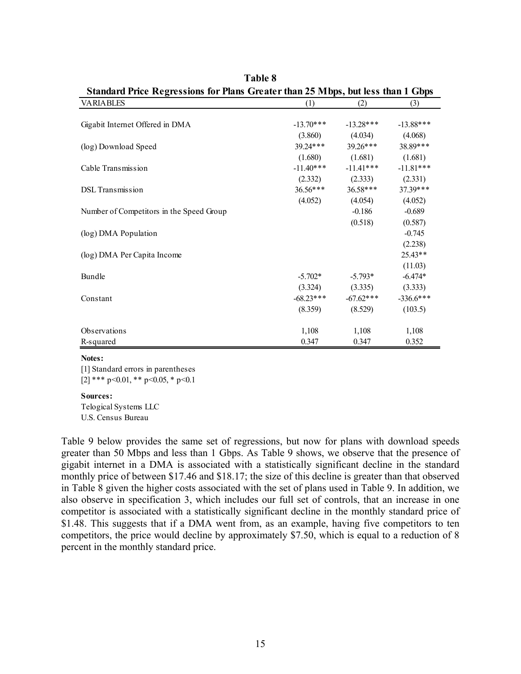| Standard Price Regressions for Plans Greater than 25 M bps, but less than I Gbps |             |             |              |  |  |
|----------------------------------------------------------------------------------|-------------|-------------|--------------|--|--|
| <b>VARIABLES</b>                                                                 | (1)         | (2)         | (3)          |  |  |
|                                                                                  |             |             |              |  |  |
| Gigabit Internet Offered in DMA                                                  | $-13.70***$ | $-13.28***$ | $-13.88$ *** |  |  |
|                                                                                  | (3.860)     | (4.034)     | (4.068)      |  |  |
| (log) Download Speed                                                             | $39.24***$  | $39.26***$  | 38.89***     |  |  |
|                                                                                  | (1.680)     | (1.681)     | (1.681)      |  |  |
| Cable Transmission                                                               | $-11.40***$ | $-11.41***$ | $-11.81***$  |  |  |
|                                                                                  | (2.332)     | (2.333)     | (2.331)      |  |  |
| <b>DSL</b> Transmission                                                          | $36.56***$  | $36.58***$  | $37.39***$   |  |  |
|                                                                                  | (4.052)     | (4.054)     | (4.052)      |  |  |
| Number of Competitors in the Speed Group                                         |             | $-0.186$    | $-0.689$     |  |  |
|                                                                                  |             | (0.518)     | (0.587)      |  |  |
| (log) DMA Population                                                             |             |             | $-0.745$     |  |  |
|                                                                                  |             |             | (2.238)      |  |  |
| (log) DMA Per Capita Income                                                      |             |             | $25.43**$    |  |  |
|                                                                                  |             |             | (11.03)      |  |  |
| Bundle                                                                           | $-5.702*$   | $-5.793*$   | $-6.474*$    |  |  |
|                                                                                  | (3.324)     | (3.335)     | (3.333)      |  |  |
| Constant                                                                         | $-68.23***$ | $-67.62***$ | $-336.6***$  |  |  |
|                                                                                  | (8.359)     | (8.529)     | (103.5)      |  |  |
|                                                                                  |             |             |              |  |  |
| Observations                                                                     | 1,108       | 1,108       | 1,108        |  |  |
| R-squared                                                                        | 0.347       | 0.347       | 0.352        |  |  |

**Table 8 Standard Price Regressions for Plans Greater than 25 Mbps, but less than 1 Gbps**

[1] Standard errors in parentheses [2] \*\*\* p<0.01, \*\* p<0.05, \* p<0.1

#### **Sources:**

Telogical Systems LLC U.S. Census Bureau

Table 9 below provides the same set of regressions, but now for plans with download speeds greater than 50 Mbps and less than 1 Gbps. As Table 9 shows, we observe that the presence of gigabit internet in a DMA is associated with a statistically significant decline in the standard monthly price of between \$17.46 and \$18.17; the size of this decline is greater than that observed in Table 8 given the higher costs associated with the set of plans used in Table 9. In addition, we also observe in specification 3, which includes our full set of controls, that an increase in one competitor is associated with a statistically significant decline in the monthly standard price of \$1.48. This suggests that if a DMA went from, as an example, having five competitors to ten competitors, the price would decline by approximately \$7.50, which is equal to a reduction of 8 percent in the monthly standard price.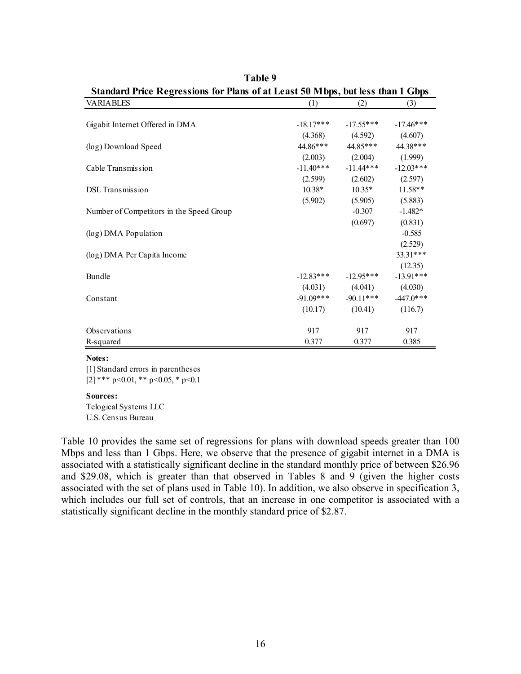| Standard Price Regressions for Plans of at Least 50 Mbps, but less than 1 Gbps |             |             |             |  |  |
|--------------------------------------------------------------------------------|-------------|-------------|-------------|--|--|
| <b>VARIABLES</b>                                                               | (1)         | (2)         | (3)         |  |  |
|                                                                                |             |             |             |  |  |
| Gigabit Internet Offered in DMA                                                | $-18.17***$ | $-17.55***$ | $-17.46***$ |  |  |
|                                                                                | (4.368)     | (4.592)     | (4.607)     |  |  |
| (log) Download Speed                                                           | 44.86***    | 44.85***    | 44.38***    |  |  |
|                                                                                | (2.003)     | (2.004)     | (1.999)     |  |  |
| Cable Transmission                                                             | $-11.40***$ | $-11.44***$ | $-12.03***$ |  |  |
|                                                                                | (2.599)     | (2.602)     | (2.597)     |  |  |
| <b>DSL</b> Transmission                                                        | $10.38*$    | $10.35*$    | $11.58**$   |  |  |
|                                                                                | (5.902)     | (5.905)     | (5.883)     |  |  |
| Number of Competitors in the Speed Group                                       |             | $-0.307$    | $-1.482*$   |  |  |
|                                                                                |             | (0.697)     | (0.831)     |  |  |
| (log) DMA Population                                                           |             |             | $-0.585$    |  |  |
|                                                                                |             |             | (2.529)     |  |  |
| (log) DMA Per Capita Income                                                    |             |             | 33.31***    |  |  |
|                                                                                |             |             | (12.35)     |  |  |
| Bundle                                                                         | $-12.83***$ | $-12.95***$ | $-13.91***$ |  |  |
|                                                                                | (4.031)     | (4.041)     | (4.030)     |  |  |
| Constant                                                                       | $-91.09***$ | $-90.11***$ | $-447.0***$ |  |  |
|                                                                                | (10.17)     | (10.41)     | (116.7)     |  |  |
| Observations                                                                   | 917         | 917         | 917         |  |  |
| R-squared                                                                      | 0.377       | 0.377       | 0.385       |  |  |
|                                                                                |             |             |             |  |  |

| Table 9                                                                        |  |
|--------------------------------------------------------------------------------|--|
| Standard Price Regressions for Plans of at Least 50 Mbps, but less than 1 Gbps |  |

[1] Standard errors in parentheses [2] \*\*\*  $p<0.01$ , \*\*  $p<0.05$ , \*  $p<0.1$ 

#### **Sources:**

Telogical Systems LLC U.S. Census Bureau

Table 10 provides the same set of regressions for plans with download speeds greater than 100 Mbps and less than 1 Gbps. Here, we observe that the presence of gigabit internet in a DMA is associated with a statistically significant decline in the standard monthly price of between \$26.96 and \$29.08, which is greater than that observed in Tables 8 and 9 (given the higher costs associated with the set of plans used in Table 10). In addition, we also observe in specification 3, which includes our full set of controls, that an increase in one competitor is associated with a statistically significant decline in the monthly standard price of \$2.87.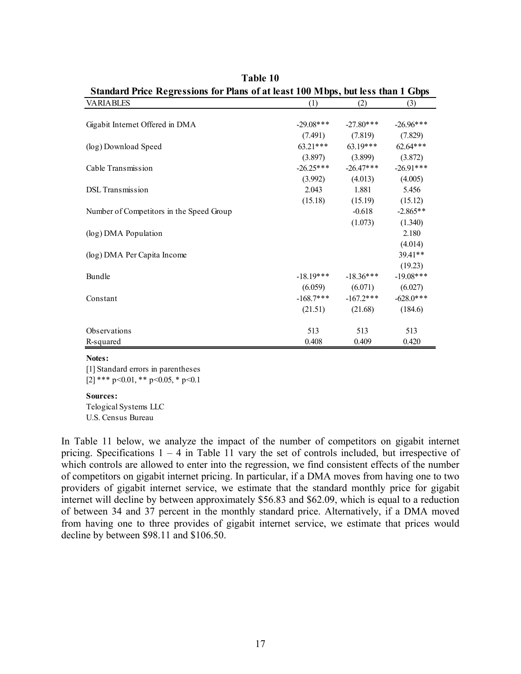| Standard Price Regressions for Plans of at least Tuu Mipps, but less than I Gbps |              |             |              |
|----------------------------------------------------------------------------------|--------------|-------------|--------------|
| <b>VARIABLES</b>                                                                 | (1)          | (2)         | (3)          |
|                                                                                  |              |             |              |
| Gigabit Internet Offered in DMA                                                  | $-29.08$ *** | $-27.80***$ | $-26.96***$  |
|                                                                                  | (7.491)      | (7.819)     | (7.829)      |
| (log) Download Speed                                                             | $63.21***$   | $63.19***$  | $62.64***$   |
|                                                                                  | (3.897)      | (3.899)     | (3.872)      |
| Cable Transmission                                                               | $-26.25***$  | $-26.47***$ | $-26.91***$  |
|                                                                                  | (3.992)      | (4.013)     | (4.005)      |
| <b>DSL</b> Transmission                                                          | 2.043        | 1.881       | 5.456        |
|                                                                                  | (15.18)      | (15.19)     | (15.12)      |
| Number of Competitors in the Speed Group                                         |              | $-0.618$    | $-2.865**$   |
|                                                                                  |              | (1.073)     | (1.340)      |
| (log) DMA Population                                                             |              |             | 2.180        |
|                                                                                  |              |             | (4.014)      |
| (log) DMA Per Capita Income                                                      |              |             | 39.41**      |
|                                                                                  |              |             | (19.23)      |
| Bundle                                                                           | $-18.19***$  | $-18.36***$ | $-19.08$ *** |
|                                                                                  | (6.059)      | (6.071)     | (6.027)      |
| Constant                                                                         | $-168.7$ *** | $-167.2***$ | $-628.0***$  |
|                                                                                  | (21.51)      | (21.68)     | (184.6)      |
|                                                                                  |              |             |              |
| Observations                                                                     | 513          | 513         | 513          |
| R-squared                                                                        | 0.408        | 0.409       | 0.420        |

**Table 10 Standard Price Regressions for Plans of at least 100 Mbps, but less than 1 Gbps**

[1] Standard errors in parentheses [2] \*\*\* p<0.01, \*\* p<0.05, \* p<0.1

#### **Sources:**

Telogical Systems LLC U.S. Census Bureau

In Table 11 below, we analyze the impact of the number of competitors on gigabit internet pricing. Specifications  $1 - 4$  in Table 11 vary the set of controls included, but irrespective of which controls are allowed to enter into the regression, we find consistent effects of the number of competitors on gigabit internet pricing. In particular, if a DMA moves from having one to two providers of gigabit internet service, we estimate that the standard monthly price for gigabit internet will decline by between approximately \$56.83 and \$62.09, which is equal to a reduction of between 34 and 37 percent in the monthly standard price. Alternatively, if a DMA moved from having one to three provides of gigabit internet service, we estimate that prices would decline by between \$98.11 and \$106.50.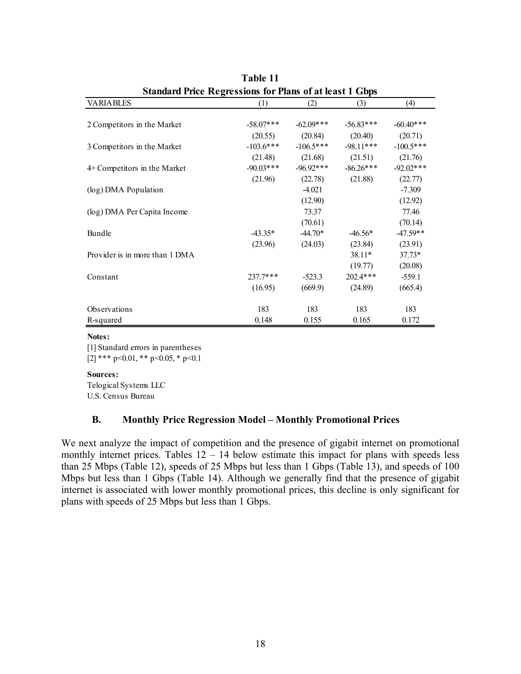| Standard Price Regressions for Plans of at least 1 GDDS |             |             |             |             |  |  |  |
|---------------------------------------------------------|-------------|-------------|-------------|-------------|--|--|--|
| <b>VARIABLES</b>                                        | (1)         | (2)         | (3)         | (4)         |  |  |  |
|                                                         |             |             |             |             |  |  |  |
| 2 Competitors in the Market                             | $-58.07***$ | $-62.09***$ | $-56.83***$ | $-60.40**$  |  |  |  |
|                                                         | (20.55)     | (20.84)     | (20.40)     | (20.71)     |  |  |  |
| 3 Competitors in the Market                             | $-103.6***$ | $-106.5***$ | $-98.11***$ | $-100.5***$ |  |  |  |
|                                                         | (21.48)     | (21.68)     | (21.51)     | (21.76)     |  |  |  |
| 4+ Competitors in the Market                            | $-90.03***$ | $-96.92***$ | $-86.26***$ | $-92.02***$ |  |  |  |
|                                                         | (21.96)     | (22.78)     | (21.88)     | (22.77)     |  |  |  |
| (log) DMA Population                                    |             | $-4.021$    |             | $-7.309$    |  |  |  |
|                                                         |             | (12.90)     |             | (12.92)     |  |  |  |
| (log) DMA Per Capita Income                             |             | 73.37       |             | 77.46       |  |  |  |
|                                                         |             | (70.61)     |             | (70.14)     |  |  |  |
| Bundle                                                  | $-43.35*$   | $-44.70*$   | $-46.56*$   | $-47.59**$  |  |  |  |
|                                                         | (23.96)     | (24.03)     | (23.84)     | (23.91)     |  |  |  |
| Provider is in more than 1 DMA                          |             |             | 38.11*      | $37.73*$    |  |  |  |
|                                                         |             |             | (19.77)     | (20.08)     |  |  |  |
| Constant                                                | 237.7***    | $-523.3$    | 202.4***    | $-559.1$    |  |  |  |
|                                                         | (16.95)     | (669.9)     | (24.89)     | (665.4)     |  |  |  |
| Observations                                            | 183         | 183         | 183         | 183         |  |  |  |
| R-squared                                               | 0.148       | 0.155       | 0.165       | 0.172       |  |  |  |
|                                                         |             |             |             |             |  |  |  |

**Table 11 Standard Price Regressions for Plans of at least 1 Gbps**

[1] Standard errors in parentheses [2] \*\*\* p<0.01, \*\* p<0.05, \* p<0.1

#### **Sources:**

Telogical Systems LLC U.S. Census Bureau

### **B. Monthly Price Regression Model – Monthly Promotional Prices**

We next analyze the impact of competition and the presence of gigabit internet on promotional monthly internet prices. Tables  $12 - 14$  below estimate this impact for plans with speeds less than 25 Mbps (Table 12), speeds of 25 Mbps but less than 1 Gbps (Table 13), and speeds of 100 Mbps but less than 1 Gbps (Table 14). Although we generally find that the presence of gigabit internet is associated with lower monthly promotional prices, this decline is only significant for plans with speeds of 25 Mbps but less than 1 Gbps.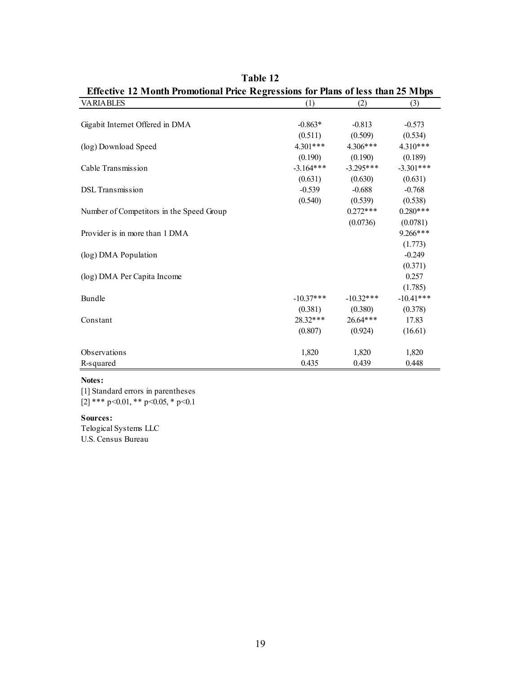| <b>Effective 12 Month Promotional Price Regressions for Plans of less than 25 Mbps</b> |             |             |             |  |  |
|----------------------------------------------------------------------------------------|-------------|-------------|-------------|--|--|
| <b>VARIABLES</b>                                                                       | (1)         | (2)         | (3)         |  |  |
|                                                                                        |             |             |             |  |  |
| Gigabit Internet Offered in DMA                                                        | $-0.863*$   | $-0.813$    | $-0.573$    |  |  |
|                                                                                        | (0.511)     | (0.509)     | (0.534)     |  |  |
| (log) Download Speed                                                                   | $4.301***$  | $4.306***$  | $4.310***$  |  |  |
|                                                                                        | (0.190)     | (0.190)     | (0.189)     |  |  |
| Cable Transmission                                                                     | $-3.164***$ | $-3.295***$ | $-3.301***$ |  |  |
|                                                                                        | (0.631)     | (0.630)     | (0.631)     |  |  |
| <b>DSL</b> Transmission                                                                | $-0.539$    | $-0.688$    | $-0.768$    |  |  |
|                                                                                        | (0.540)     | (0.539)     | (0.538)     |  |  |
| Number of Competitors in the Speed Group                                               |             | $0.272***$  | $0.280***$  |  |  |
|                                                                                        |             | (0.0736)    | (0.0781)    |  |  |
| Provider is in more than 1 DMA                                                         |             |             | $9.266***$  |  |  |
|                                                                                        |             |             | (1.773)     |  |  |
| (log) DMA Population                                                                   |             |             | $-0.249$    |  |  |
|                                                                                        |             |             | (0.371)     |  |  |
| (log) DMA Per Capita Income                                                            |             |             | 0.257       |  |  |
|                                                                                        |             |             | (1.785)     |  |  |
| Bundle                                                                                 | $-10.37***$ | $-10.32***$ | $-10.41***$ |  |  |
|                                                                                        | (0.381)     | (0.380)     | (0.378)     |  |  |
| Constant                                                                               | 28.32***    | 26.64***    | 17.83       |  |  |
|                                                                                        | (0.807)     | (0.924)     | (16.61)     |  |  |
|                                                                                        |             |             |             |  |  |
| Observations                                                                           | 1,820       | 1,820       | 1,820       |  |  |
| R-squared                                                                              | 0.435       | 0.439       | 0.448       |  |  |

**Table 12** 

[1] Standard errors in parentheses [2] \*\*\* p<0.01, \*\* p<0.05, \* p<0.1

#### **Sources:**

Telogical Systems LLC U.S. Census Bureau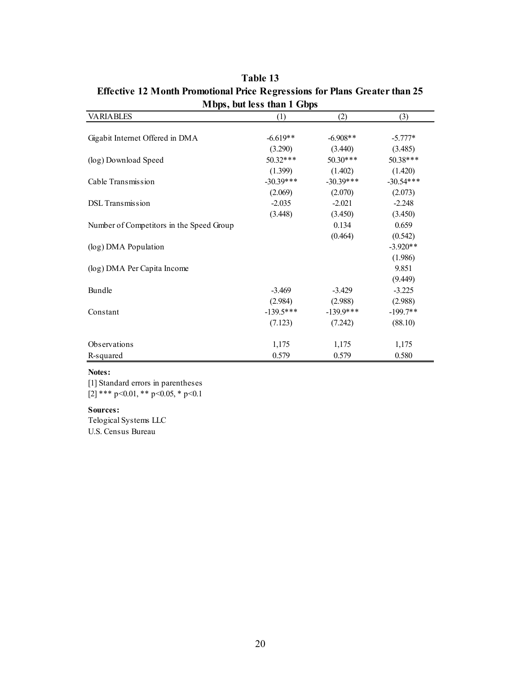| $\mu$ Lups, but itss than 1 Obps         |             |             |             |  |  |  |
|------------------------------------------|-------------|-------------|-------------|--|--|--|
| <b>VARIABLES</b>                         | (1)         | (2)         | (3)         |  |  |  |
|                                          |             |             |             |  |  |  |
| Gigabit Internet Offered in DMA          | $-6.619**$  | $-6.908**$  | $-5.777*$   |  |  |  |
|                                          | (3.290)     | (3.440)     | (3.485)     |  |  |  |
| (log) Download Speed                     | $50.32***$  | $50.30***$  | 50.38***    |  |  |  |
|                                          | (1.399)     | (1.402)     | (1.420)     |  |  |  |
| Cable Transmission                       | $-30.39***$ | $-30.39***$ | $-30.54***$ |  |  |  |
|                                          | (2.069)     | (2.070)     | (2.073)     |  |  |  |
| <b>DSL</b> Transmission                  | $-2.035$    | $-2.021$    | $-2.248$    |  |  |  |
|                                          | (3.448)     | (3.450)     | (3.450)     |  |  |  |
| Number of Competitors in the Speed Group |             | 0.134       | 0.659       |  |  |  |
|                                          |             | (0.464)     | (0.542)     |  |  |  |
| (log) DMA Population                     |             |             | $-3.920**$  |  |  |  |
|                                          |             |             | (1.986)     |  |  |  |
| (log) DMA Per Capita Income              |             |             | 9.851       |  |  |  |
|                                          |             |             | (9.449)     |  |  |  |
| Bundle                                   | $-3.469$    | $-3.429$    | $-3.225$    |  |  |  |
|                                          | (2.984)     | (2.988)     | (2.988)     |  |  |  |
| Constant                                 | $-139.5***$ | $-139.9***$ | $-199.7**$  |  |  |  |
|                                          | (7.123)     | (7.242)     | (88.10)     |  |  |  |
|                                          |             |             |             |  |  |  |
| Observations                             | 1,175       | 1,175       | 1,175       |  |  |  |
| R-squared                                | 0.579       | 0.579       | 0.580       |  |  |  |

**Table 13 Effective 12 Month Promotional Price Regressions for Plans Greater than 25 Mbps, but less than 1 Gbps**

[1] Standard errors in parentheses [2] \*\*\* p<0.01, \*\* p<0.05, \* p<0.1

#### **Sources:**

Telogical Systems LLC U.S. Census Bureau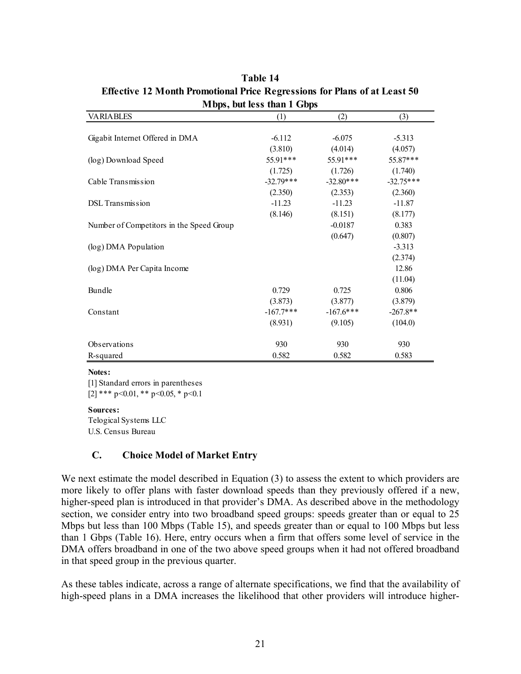| <b>NEUDS, DUCTESS MAIL L'UDDS</b>        |             |             |             |  |  |
|------------------------------------------|-------------|-------------|-------------|--|--|
| <b>VARIABLES</b>                         | (1)         | (2)         | (3)         |  |  |
|                                          |             |             |             |  |  |
| Gigabit Internet Offered in DMA          | $-6.112$    | $-6.075$    | $-5.313$    |  |  |
|                                          | (3.810)     | (4.014)     | (4.057)     |  |  |
| (log) Download Speed                     | 55.91***    | 55.91***    | 55.87***    |  |  |
|                                          | (1.725)     | (1.726)     | (1.740)     |  |  |
| Cable Transmission                       | $-32.79***$ | $-32.80***$ | $-32.75***$ |  |  |
|                                          | (2.350)     | (2.353)     | (2.360)     |  |  |
| <b>DSL</b> Transmission                  | $-11.23$    | $-11.23$    | $-11.87$    |  |  |
|                                          | (8.146)     | (8.151)     | (8.177)     |  |  |
| Number of Competitors in the Speed Group |             | $-0.0187$   | 0.383       |  |  |
|                                          |             | (0.647)     | (0.807)     |  |  |
| (log) DMA Population                     |             |             | $-3.313$    |  |  |
|                                          |             |             | (2.374)     |  |  |
| (log) DMA Per Capita Income              |             |             | 12.86       |  |  |
|                                          |             |             | (11.04)     |  |  |
| Bundle                                   | 0.729       | 0.725       | 0.806       |  |  |
|                                          | (3.873)     | (3.877)     | (3.879)     |  |  |
| Constant                                 | $-167.7***$ | $-167.6***$ | $-267.8**$  |  |  |
|                                          | (8.931)     | (9.105)     | (104.0)     |  |  |
|                                          |             |             |             |  |  |
| <b>Observations</b>                      | 930         | 930         | 930         |  |  |
| R-squared                                | 0.582       | 0.582       | 0.583       |  |  |

**Table 14 Effective 12 Month Promotional Price Regressions for Plans of at Least 50 Mbps, but less than 1 Gbps**

[1] Standard errors in parentheses [2] \*\*\* p<0.01, \*\* p<0.05, \* p<0.1

### **Sources:**

Telogical Systems LLC U.S. Census Bureau

### **C. Choice Model of Market Entry**

We next estimate the model described in Equation (3) to assess the extent to which providers are more likely to offer plans with faster download speeds than they previously offered if a new, higher-speed plan is introduced in that provider's DMA. As described above in the methodology section, we consider entry into two broadband speed groups: speeds greater than or equal to 25 Mbps but less than 100 Mbps (Table 15), and speeds greater than or equal to 100 Mbps but less than 1 Gbps (Table 16). Here, entry occurs when a firm that offers some level of service in the DMA offers broadband in one of the two above speed groups when it had not offered broadband in that speed group in the previous quarter.

As these tables indicate, across a range of alternate specifications, we find that the availability of high-speed plans in a DMA increases the likelihood that other providers will introduce higher-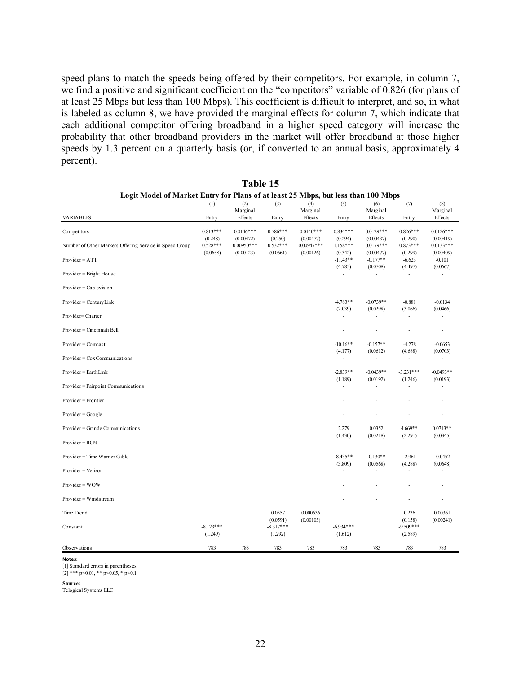speed plans to match the speeds being offered by their competitors. For example, in column 7, we find a positive and significant coefficient on the "competitors" variable of 0.826 (for plans of at least 25 Mbps but less than 100 Mbps). This coefficient is difficult to interpret, and so, in what is labeled as column 8, we have provided the marginal effects for column 7, which indicate that each additional competitor offering broadband in a higher speed category will increase the probability that other broadband providers in the market will offer broadband at those higher speeds by 1.3 percent on a quarterly basis (or, if converted to an annual basis, approximately 4 percent).

|                                                         | (1)         | (2)                 | (3)                     | (4)                 | (5)                      | (6)                      | (7)                      | (8)                      |
|---------------------------------------------------------|-------------|---------------------|-------------------------|---------------------|--------------------------|--------------------------|--------------------------|--------------------------|
| <b>VARIABLES</b>                                        | Entry       | Marginal<br>Effects | Entry                   | Marginal<br>Effects | Entry                    | Marginal<br>Effects      | Entry                    | Marginal<br>Effects      |
|                                                         |             |                     |                         |                     |                          |                          |                          |                          |
| Competitors                                             | $0.813***$  | $0.0146***$         | $0.786***$              | $0.0140***$         | $0.834***$               | $0.0129***$              | $0.826***$               | $0.0126***$              |
|                                                         | (0.248)     | (0.00472)           | (0.250)                 | (0.00477)           | (0.294)                  | (0.00437)                | (0.290)                  | (0.00419)                |
| Number of Other Markets Offering Service in Speed Group | $0.528***$  | $0.00950***$        | $0.532***$              | $0.00947***$        | 1.158***                 | $0.0179***$              | $0.873***$               | $0.0133***$              |
|                                                         | (0.0658)    | (0.00123)           | (0.0661)                | (0.00126)           | (0.342)                  | (0.00477)                | (0.299)                  | (0.00409)                |
| $Provider = ATT$                                        |             |                     |                         |                     | $-11.43**$<br>(4.785)    | $-0.177**$<br>(0.0708)   | $-6.623$<br>(4.497)      | $-0.101$<br>(0.0667)     |
| Provider = Bright House                                 |             |                     |                         |                     | $\frac{1}{2}$            | L,                       |                          | L.                       |
| $Provider = Cablevision$                                |             |                     |                         |                     | $\overline{\phantom{a}}$ | $\overline{a}$           | $\overline{a}$           | $\overline{\phantom{a}}$ |
| $Provider = CenturyLink$                                |             |                     |                         |                     | $-4.783**$               | $-0.0739**$              | $-0.881$                 | $-0.0134$                |
|                                                         |             |                     |                         |                     | (2.039)                  | (0.0298)                 | (3.066)                  | (0.0466)                 |
| Provider=Charter                                        |             |                     |                         |                     | $\blacksquare$           | L,                       | ä,                       | L,                       |
| Provider = Cincinnati Bell                              |             |                     |                         |                     | $\overline{a}$           | ÷,                       | L,                       | $\overline{a}$           |
| $Provider = Comcast$                                    |             |                     |                         |                     | $-10.16**$               | $-0.157**$               | $-4.278$                 | $-0.0653$                |
|                                                         |             |                     |                         |                     | (4.177)                  | (0.0612)                 | (4.688)                  | (0.0703)                 |
| $Provider = Cox Communications$                         |             |                     |                         |                     | $\overline{a}$           | $\overline{a}$           | ٠                        | ٠                        |
| $Provider = EarthLink$                                  |             |                     |                         |                     | $-2.839**$               | $-0.0439**$              | $-3.231***$              | $-0.0493**$              |
|                                                         |             |                     |                         |                     | (1.189)                  | (0.0192)                 | (1.246)                  | (0.0193)                 |
| Provider = Fairpoint Communications                     |             |                     |                         |                     | $\frac{1}{2}$            | L,                       | ä,                       | L,                       |
| Provider = Frontier                                     |             |                     |                         |                     |                          |                          |                          | ä,                       |
| $Provider = Google$                                     |             |                     |                         |                     | $\overline{a}$           | ٠                        | ٠                        | $\overline{a}$           |
| Provider = Grande Communications                        |             |                     |                         |                     | 2.279                    | 0.0352                   | 4.669**                  | $0.0713**$               |
|                                                         |             |                     |                         |                     | (1.430)                  | (0.0218)                 | (2.291)                  | (0.0345)                 |
| $Provider = RCN$                                        |             |                     |                         |                     | $\overline{\phantom{a}}$ | $\overline{\phantom{a}}$ | $\overline{\phantom{a}}$ | $\overline{a}$           |
| Provider = Time Warner Cable                            |             |                     |                         |                     | $-8.435**$               | $-0.130**$               | $-2.961$                 | $-0.0452$                |
|                                                         |             |                     |                         |                     | (3.809)                  | (0.0568)                 | (4.288)                  | (0.0648)                 |
| Provider = Verizon                                      |             |                     |                         |                     | $\blacksquare$           | $\overline{a}$           | $\overline{\phantom{a}}$ | $\overline{a}$           |
| $Provider = WOW!$                                       |             |                     |                         |                     |                          |                          |                          | $\overline{\phantom{m}}$ |
| $Provider = Windstream$                                 |             |                     |                         |                     |                          |                          | $\overline{a}$           | $\frac{1}{2}$            |
| Time Trend                                              |             |                     | 0.0357                  | 0.000636            |                          |                          | 0.236                    | 0.00361                  |
| Constant                                                | $-8.123***$ |                     | (0.0591)<br>$-8.317***$ | (0.00105)           | $-6.934***$              |                          | (0.158)<br>$-9.509***$   | (0.00241)                |
|                                                         | (1.249)     |                     | (1.292)                 |                     | (1.612)                  |                          | (2.589)                  |                          |
|                                                         |             |                     |                         |                     |                          |                          |                          |                          |
| Observations                                            | 783         | 783                 | 783                     | 783                 | 783                      | 783                      | 783                      | 783                      |

| Table 15 |                                                                                   |  |  |  |  |
|----------|-----------------------------------------------------------------------------------|--|--|--|--|
|          | Logit Model of Market Entry for Plans of at least 25 Mbps, but less than 100 Mbps |  |  |  |  |

**Notes:** [1] Standard errors in parentheses

 $[2]$  \*\*\* p<0.01, \*\* p<0.05, \* p<0.1

**Source:**

Telogical Systems LLC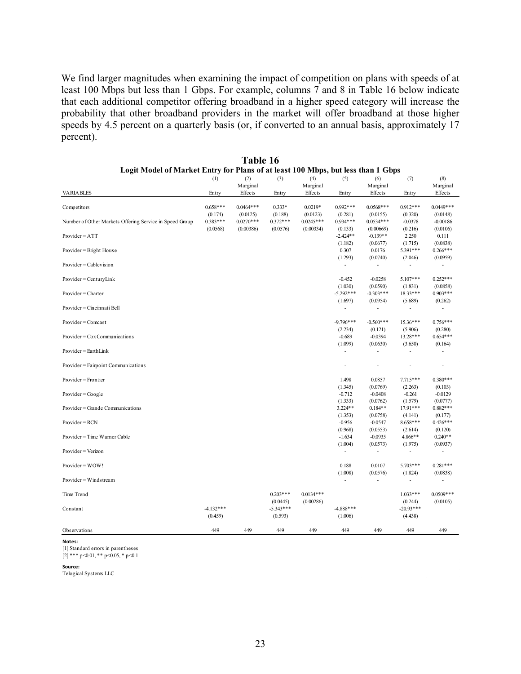We find larger magnitudes when examining the impact of competition on plans with speeds of at least 100 Mbps but less than 1 Gbps. For example, columns 7 and 8 in Table 16 below indicate that each additional competitor offering broadband in a higher speed category will increase the probability that other broadband providers in the market will offer broadband at those higher speeds by 4.5 percent on a quarterly basis (or, if converted to an annual basis, approximately 17 percent).

| Marginal<br>Marginal<br>Marginal                                                                                                                            | Marginal              |
|-------------------------------------------------------------------------------------------------------------------------------------------------------------|-----------------------|
|                                                                                                                                                             |                       |
| Effects<br>Effects<br>Effects<br><b>VARIABLES</b><br>Entry<br>Entry<br>Entry<br>Entry                                                                       | Effects               |
| $0.658***$<br>$0.0464***$<br>$0.333*$<br>$0.0219*$<br>$0.992***$<br>$0.0568***$<br>$0.912***$<br>Competitors                                                | $0.0449***$           |
| (0.174)<br>(0.188)<br>(0.0123)<br>(0.281)<br>(0.320)<br>(0.0125)<br>(0.0155)                                                                                | (0.0148)              |
| $0.383***$<br>$0.0270***$<br>$0.372***$<br>$0.934***$<br>$0.0245***$<br>$0.0534***$<br>$-0.0378$<br>Number of Other Markets Offering Service in Speed Group | $-0.00186$            |
| (0.0568)<br>(0.00386)<br>(0.0576)<br>(0.00334)<br>(0.216)<br>(0.133)<br>(0.00669)                                                                           | (0.0106)              |
| $-2.424**$<br>$Provider = ATT$<br>$-0.139**$<br>2.250                                                                                                       | 0.111                 |
| (1.182)<br>(0.0677)<br>(1.715)                                                                                                                              | (0.0838)              |
| 5.391***<br>0.307<br>$Provider = Bright House$<br>0.0176                                                                                                    | $0.266***$            |
| (1.293)<br>(0.0740)<br>(2.046)                                                                                                                              | (0.0959)              |
| Provider = Cablevision<br>÷,                                                                                                                                |                       |
|                                                                                                                                                             |                       |
| $5.107***$<br>$Provider = CenturyLink$<br>$-0.452$<br>$-0.0258$                                                                                             | $0.252***$            |
| (1.030)<br>(0.0590)<br>(1.831)                                                                                                                              | (0.0858)              |
| $-5.292***$<br>$-0.303***$<br>18.33***<br>Provider = Charter                                                                                                | $0.903***$            |
| (1.697)<br>(0.0954)<br>(5.689)                                                                                                                              | (0.262)               |
| Provider = Cincinnati Bell<br>÷,<br>$\overline{\phantom{a}}$<br>÷,                                                                                          | ÷,                    |
|                                                                                                                                                             |                       |
| $-9.796***$<br>$-0.560***$<br>$Provider = Comcast$<br>$15.36***$                                                                                            | $0.756***$            |
| (2.234)<br>(0.121)<br>(5.906)<br>$Provider = Cox Communications$<br>$-0.689$<br>$-0.0394$<br>13.28***                                                       | (0.280)<br>$0.654***$ |
| (1.099)<br>(0.0630)<br>(3.650)                                                                                                                              | (0.164)               |
| $Provider = EarthLink$                                                                                                                                      |                       |
|                                                                                                                                                             |                       |
| Provider = Fairpoint Communications<br>÷,                                                                                                                   | ÷.                    |
|                                                                                                                                                             |                       |
| $Provider = Frontier$<br>1.498<br>0.0857<br>$7.715***$                                                                                                      | $0.380***$            |
| (0.0769)<br>(2.263)<br>(1.345)                                                                                                                              | (0.103)               |
| $Provider = Google$<br>$-0.712$<br>$-0.0408$<br>$-0.261$                                                                                                    | $-0.0129$             |
| (1.333)<br>(0.0762)<br>(1.579)                                                                                                                              | (0.0777)              |
| $3.224**$<br>$0.184**$<br>17.91***<br>Provider = Grande Communications                                                                                      | $0.882***$            |
| (0.0758)<br>(1.353)<br>(4.141)                                                                                                                              | (0.177)               |
| Provider = RCN<br>$-0.956$<br>$-0.0547$<br>8.658***                                                                                                         | $0.426***$            |
| (0.968)<br>(0.0553)<br>(2.614)                                                                                                                              | (0.120)               |
| 4.866**<br>Provider = Time Warner Cable<br>$-1.634$<br>$-0.0935$                                                                                            | $0.240**$             |
| (1.004)<br>(0.0573)<br>(1.975)                                                                                                                              | (0.0937)              |
| Provider = Verizon<br>$\overline{\phantom{a}}$<br>÷,<br>$\overline{\phantom{a}}$                                                                            | ٠                     |
|                                                                                                                                                             |                       |
| 0.188<br>0.0107<br>Provider = WOW!<br>$5.703***$                                                                                                            | $0.281***$            |
| (1.008)<br>(0.0576)<br>(1.824)                                                                                                                              | (0.0838)              |
| Provider = Windstream<br>÷.<br>÷,<br>÷                                                                                                                      | ÷,                    |
|                                                                                                                                                             |                       |
| $0.0134***$<br>Time Trend<br>$0.203***$<br>$1.033***$                                                                                                       | $0.0509***$           |
| (0.00286)<br>(0.0445)<br>(0.244)<br>$-4.132***$<br>$-5.343***$<br>$-4.888***$<br>$-20.93***$                                                                | (0.0105)              |
| Constant                                                                                                                                                    |                       |
| (0.459)<br>(0.593)<br>(1.006)<br>(4.438)                                                                                                                    |                       |
| 449<br>449<br>449<br>449<br>449<br>449<br>449<br>Observations                                                                                               | 449                   |

**Table 16 Logit Model of Market Entry for Plans of at least 100 Mbps, but less than 1 Gbps**

**Notes:**

[1] Standard errors in parentheses

 $[2]$  \*\*\* p<0.01, \*\* p<0.05, \* p<0.1

**Source:**

Telogical Systems LLC